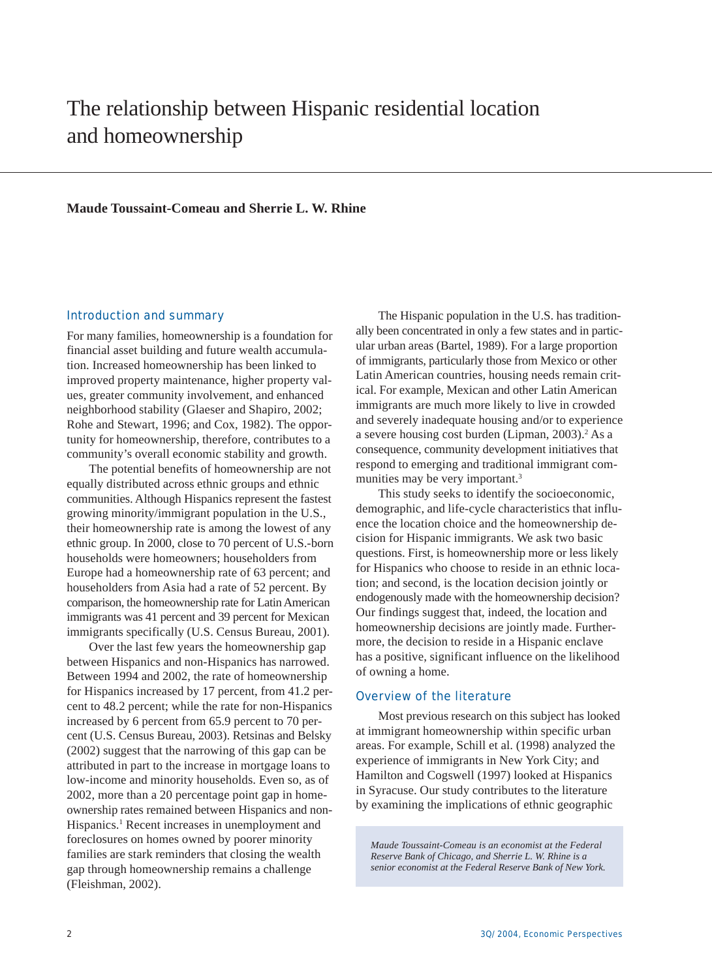# The relationship between Hispanic residential location and homeownership

#### **Maude Toussaint-Comeau and Sherrie L. W. Rhine**

#### Introduction and summary

For many families, homeownership is a foundation for financial asset building and future wealth accumulation. Increased homeownership has been linked to improved property maintenance, higher property values, greater community involvement, and enhanced neighborhood stability (Glaeser and Shapiro, 2002; Rohe and Stewart, 1996; and Cox, 1982). The opportunity for homeownership, therefore, contributes to a community's overall economic stability and growth.

The potential benefits of homeownership are not equally distributed across ethnic groups and ethnic communities. Although Hispanics represent the fastest growing minority/immigrant population in the U.S., their homeownership rate is among the lowest of any ethnic group. In 2000, close to 70 percent of U.S.-born households were homeowners; householders from Europe had a homeownership rate of 63 percent; and householders from Asia had a rate of 52 percent. By comparison, the homeownership rate for Latin American immigrants was 41 percent and 39 percent for Mexican immigrants specifically (U.S. Census Bureau, 2001).

Over the last few years the homeownership gap between Hispanics and non-Hispanics has narrowed. Between 1994 and 2002, the rate of homeownership for Hispanics increased by 17 percent, from 41.2 percent to 48.2 percent; while the rate for non-Hispanics increased by 6 percent from 65.9 percent to 70 percent (U.S. Census Bureau, 2003). Retsinas and Belsky (2002) suggest that the narrowing of this gap can be attributed in part to the increase in mortgage loans to low-income and minority households. Even so, as of 2002, more than a 20 percentage point gap in homeownership rates remained between Hispanics and non-Hispanics.<sup>1</sup> Recent increases in unemployment and foreclosures on homes owned by poorer minority families are stark reminders that closing the wealth gap through homeownership remains a challenge (Fleishman, 2002).

The Hispanic population in the U.S. has traditionally been concentrated in only a few states and in particular urban areas (Bartel, 1989). For a large proportion of immigrants, particularly those from Mexico or other Latin American countries, housing needs remain critical. For example, Mexican and other Latin American immigrants are much more likely to live in crowded and severely inadequate housing and/or to experience a severe housing cost burden (Lipman, 2003).<sup>2</sup> As a consequence, community development initiatives that respond to emerging and traditional immigrant communities may be very important.<sup>3</sup>

This study seeks to identify the socioeconomic, demographic, and life-cycle characteristics that influence the location choice and the homeownership decision for Hispanic immigrants. We ask two basic questions. First, is homeownership more or less likely for Hispanics who choose to reside in an ethnic location; and second, is the location decision jointly or endogenously made with the homeownership decision? Our findings suggest that, indeed, the location and homeownership decisions are jointly made. Furthermore, the decision to reside in a Hispanic enclave has a positive, significant influence on the likelihood of owning a home.

#### Overview of the literature

Most previous research on this subject has looked at immigrant homeownership within specific urban areas. For example, Schill et al. (1998) analyzed the experience of immigrants in New York City; and Hamilton and Cogswell (1997) looked at Hispanics in Syracuse. Our study contributes to the literature by examining the implications of ethnic geographic

*Maude Toussaint-Comeau is an economist at the Federal Reserve Bank of Chicago, and Sherrie L. W. Rhine is a senior economist at the Federal Reserve Bank of New York.*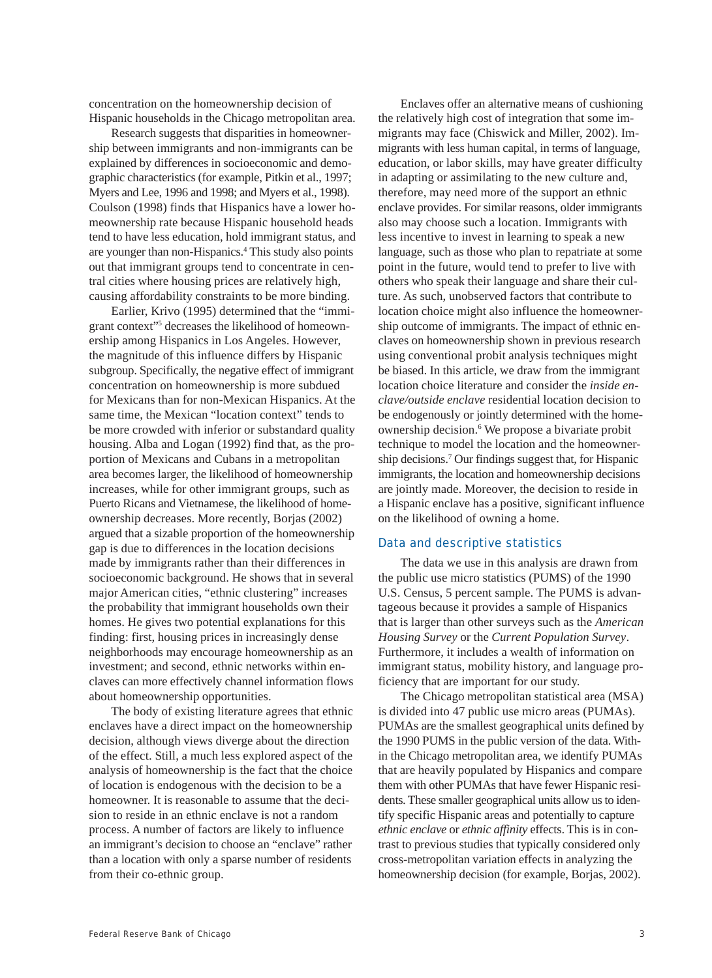concentration on the homeownership decision of Hispanic households in the Chicago metropolitan area.

Research suggests that disparities in homeownership between immigrants and non-immigrants can be explained by differences in socioeconomic and demographic characteristics (for example, Pitkin et al., 1997; Myers and Lee, 1996 and 1998; and Myers et al., 1998). Coulson (1998) finds that Hispanics have a lower homeownership rate because Hispanic household heads tend to have less education, hold immigrant status, and are younger than non-Hispanics.4 This study also points out that immigrant groups tend to concentrate in central cities where housing prices are relatively high, causing affordability constraints to be more binding.

Earlier, Krivo (1995) determined that the "immigrant context"5 decreases the likelihood of homeownership among Hispanics in Los Angeles. However, the magnitude of this influence differs by Hispanic subgroup. Specifically, the negative effect of immigrant concentration on homeownership is more subdued for Mexicans than for non-Mexican Hispanics. At the same time, the Mexican "location context" tends to be more crowded with inferior or substandard quality housing. Alba and Logan (1992) find that, as the proportion of Mexicans and Cubans in a metropolitan area becomes larger, the likelihood of homeownership increases, while for other immigrant groups, such as Puerto Ricans and Vietnamese, the likelihood of homeownership decreases. More recently, Borjas (2002) argued that a sizable proportion of the homeownership gap is due to differences in the location decisions made by immigrants rather than their differences in socioeconomic background. He shows that in several major American cities, "ethnic clustering" increases the probability that immigrant households own their homes. He gives two potential explanations for this finding: first, housing prices in increasingly dense neighborhoods may encourage homeownership as an investment; and second, ethnic networks within enclaves can more effectively channel information flows about homeownership opportunities.

The body of existing literature agrees that ethnic enclaves have a direct impact on the homeownership decision, although views diverge about the direction of the effect. Still, a much less explored aspect of the analysis of homeownership is the fact that the choice of location is endogenous with the decision to be a homeowner. It is reasonable to assume that the decision to reside in an ethnic enclave is not a random process. A number of factors are likely to influence an immigrant's decision to choose an "enclave" rather than a location with only a sparse number of residents from their co-ethnic group.

Enclaves offer an alternative means of cushioning the relatively high cost of integration that some immigrants may face (Chiswick and Miller, 2002). Immigrants with less human capital, in terms of language, education, or labor skills, may have greater difficulty in adapting or assimilating to the new culture and, therefore, may need more of the support an ethnic enclave provides. For similar reasons, older immigrants also may choose such a location. Immigrants with less incentive to invest in learning to speak a new language, such as those who plan to repatriate at some point in the future, would tend to prefer to live with others who speak their language and share their culture. As such, unobserved factors that contribute to location choice might also influence the homeownership outcome of immigrants. The impact of ethnic enclaves on homeownership shown in previous research using conventional probit analysis techniques might be biased. In this article, we draw from the immigrant location choice literature and consider the *inside enclave/outside enclave* residential location decision to be endogenously or jointly determined with the homeownership decision.<sup>6</sup> We propose a bivariate probit technique to model the location and the homeownership decisions.7 Our findings suggest that, for Hispanic immigrants, the location and homeownership decisions are jointly made. Moreover, the decision to reside in a Hispanic enclave has a positive, significant influence on the likelihood of owning a home.

### Data and descriptive statistics

The data we use in this analysis are drawn from the public use micro statistics (PUMS) of the 1990 U.S. Census, 5 percent sample. The PUMS is advantageous because it provides a sample of Hispanics that is larger than other surveys such as the *American Housing Survey* or the *Current Population Survey*. Furthermore, it includes a wealth of information on immigrant status, mobility history, and language proficiency that are important for our study.

The Chicago metropolitan statistical area (MSA) is divided into 47 public use micro areas (PUMAs). PUMAs are the smallest geographical units defined by the 1990 PUMS in the public version of the data. Within the Chicago metropolitan area, we identify PUMAs that are heavily populated by Hispanics and compare them with other PUMAs that have fewer Hispanic residents. These smaller geographical units allow us to identify specific Hispanic areas and potentially to capture *ethnic enclave* or *ethnic affinity* effects. This is in contrast to previous studies that typically considered only cross-metropolitan variation effects in analyzing the homeownership decision (for example, Borjas, 2002).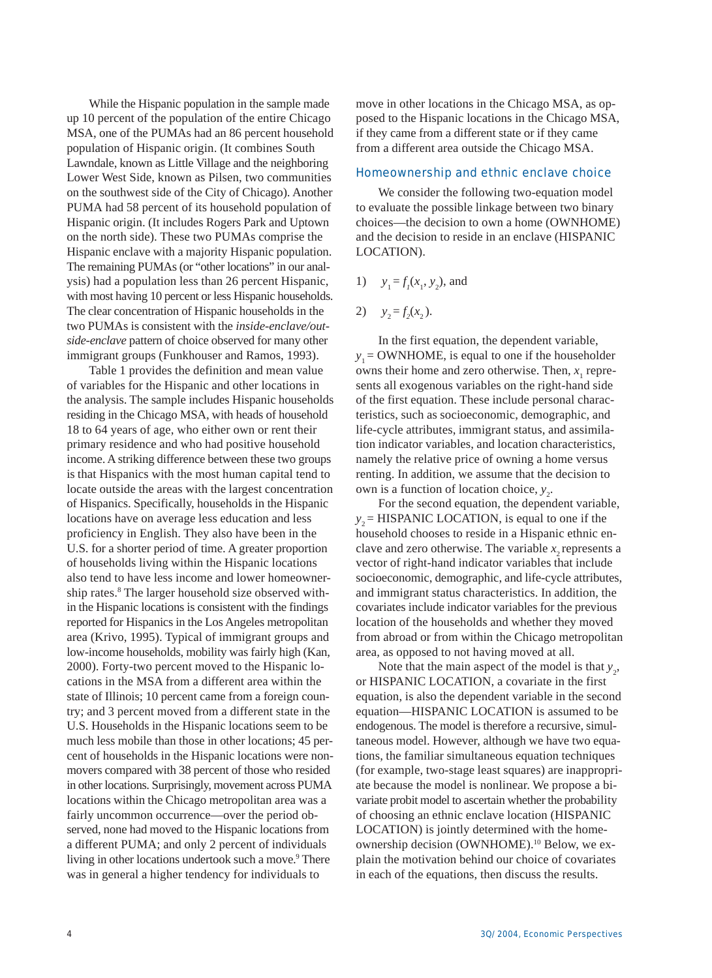While the Hispanic population in the sample made up 10 percent of the population of the entire Chicago MSA, one of the PUMAs had an 86 percent household population of Hispanic origin. (It combines South Lawndale, known as Little Village and the neighboring Lower West Side, known as Pilsen, two communities on the southwest side of the City of Chicago). Another PUMA had 58 percent of its household population of Hispanic origin. (It includes Rogers Park and Uptown on the north side). These two PUMAs comprise the Hispanic enclave with a majority Hispanic population. The remaining PUMAs (or "other locations" in our analysis) had a population less than 26 percent Hispanic, with most having 10 percent or less Hispanic households. The clear concentration of Hispanic households in the two PUMAs is consistent with the *inside-enclave/outside-enclave* pattern of choice observed for many other immigrant groups (Funkhouser and Ramos, 1993).

Table 1 provides the definition and mean value of variables for the Hispanic and other locations in the analysis. The sample includes Hispanic households residing in the Chicago MSA, with heads of household 18 to 64 years of age, who either own or rent their primary residence and who had positive household income. A striking difference between these two groups is that Hispanics with the most human capital tend to locate outside the areas with the largest concentration of Hispanics. Specifically, households in the Hispanic locations have on average less education and less proficiency in English. They also have been in the U.S. for a shorter period of time. A greater proportion of households living within the Hispanic locations also tend to have less income and lower homeownership rates.<sup>8</sup> The larger household size observed within the Hispanic locations is consistent with the findings reported for Hispanics in the Los Angeles metropolitan area (Krivo, 1995). Typical of immigrant groups and low-income households, mobility was fairly high (Kan, 2000). Forty-two percent moved to the Hispanic locations in the MSA from a different area within the state of Illinois; 10 percent came from a foreign country; and 3 percent moved from a different state in the U.S. Households in the Hispanic locations seem to be much less mobile than those in other locations; 45 percent of households in the Hispanic locations were nonmovers compared with 38 percent of those who resided in other locations. Surprisingly, movement across PUMA locations within the Chicago metropolitan area was a fairly uncommon occurrence—over the period observed, none had moved to the Hispanic locations from a different PUMA; and only 2 percent of individuals living in other locations undertook such a move.<sup>9</sup> There was in general a higher tendency for individuals to

move in other locations in the Chicago MSA, as opposed to the Hispanic locations in the Chicago MSA, if they came from a different state or if they came from a different area outside the Chicago MSA.

#### Homeownership and ethnic enclave choice

We consider the following two-equation model to evaluate the possible linkage between two binary choices—the decision to own a home (OWNHOME) and the decision to reside in an enclave (HISPANIC LOCATION).

- 1)  $y_1 = f_1(x_1, y_2)$ , and
- 2)  $y_2 = f_2(x_2)$ .

In the first equation, the dependent variable,  $y_1$  = OWNHOME, is equal to one if the householder owns their home and zero otherwise. Then,  $x_1$  represents all exogenous variables on the right-hand side of the first equation. These include personal characteristics, such as socioeconomic, demographic, and life-cycle attributes, immigrant status, and assimilation indicator variables, and location characteristics, namely the relative price of owning a home versus renting. In addition, we assume that the decision to own is a function of location choice,  $y_2$ .

For the second equation, the dependent variable,  $y_2$  = HISPANIC LOCATION, is equal to one if the household chooses to reside in a Hispanic ethnic enclave and zero otherwise. The variable  $x<sub>2</sub>$  represents a vector of right-hand indicator variables that include socioeconomic, demographic, and life-cycle attributes, and immigrant status characteristics. In addition, the covariates include indicator variables for the previous location of the households and whether they moved from abroad or from within the Chicago metropolitan area, as opposed to not having moved at all.

Note that the main aspect of the model is that  $y_2$ , or HISPANIC LOCATION, a covariate in the first equation, is also the dependent variable in the second equation—HISPANIC LOCATION is assumed to be endogenous. The model is therefore a recursive, simultaneous model. However, although we have two equations, the familiar simultaneous equation techniques (for example, two-stage least squares) are inappropriate because the model is nonlinear. We propose a bivariate probit model to ascertain whether the probability of choosing an ethnic enclave location (HISPANIC LOCATION) is jointly determined with the homeownership decision (OWNHOME).10 Below, we explain the motivation behind our choice of covariates in each of the equations, then discuss the results.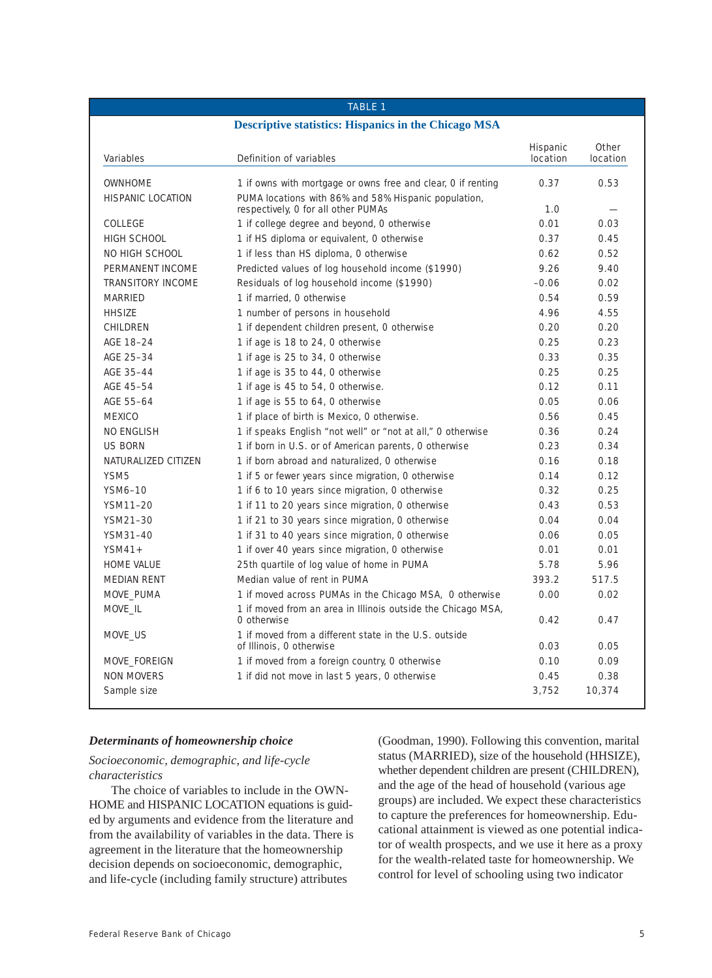# **Descriptive statistics: Hispanics in the Chicago MSA** Hispanic Other Variables **Definition of variables** and the location location location location OWNHOME 1 if owns with mortgage or owns free and clear, 0 if renting 0.37 0.53 HISPANIC LOCATION PUMA locations with 86% and 58% Hispanic population, respectively, 0 for all other PUMAs 1.0 COLLEGE 1 if college degree and beyond, 0 otherwise 0.01 0.03 HIGH SCHOOL 1 if HS diploma or equivalent, 0 otherwise 0.37 0.45 NO HIGH SCHOOL 1 if less than HS diploma, 0 otherwise 0.62 0.52 0.52 PERMANENT INCOME Predicted values of log household income (\$1990) 9.26 9.40 TRANSITORY INCOME Residuals of log household income (\$1990) - Residuals of log household income (\$1990) - 0.06 0.02 MARRIED 1 if married, 0 otherwise 1 and 200 minutes of the U.S.4 0.59 HHSIZE 1 number of persons in household 4.96 4.55 CHILDREN 1 if dependent children present, 0 otherwise 0.20 0.20 0.20 AGE 18–24 1 if age is 18 to 24, 0 otherwise 0.25 0.23 0.23 AGE 25-34 1 if age is 25 to 34, 0 otherwise 0.33 0.35 0.35 AGE 35-44 1 if age is 35 to 44, 0 otherwise 0.25 0.25 0.25 AGE 45-54 1 if age is 45 to 54, 0 otherwise. 0.12 0.11 0.12 0.11 AGE 55-64 1 if age is 55 to 64, 0 otherwise 0.05 0.06 0.06 MEXICO 1 if place of birth is Mexico, 0 otherwise. 0.56 0.45 NO ENGLISH 1 if speaks English "not well" or "not at all," 0 otherwise 0.36 0.24 US BORN 1 if born in U.S. or of American parents, 0 otherwise 0.23 0.34 NATURALIZED CITIZEN 1 if born abroad and naturalized, 0 otherwise 0.16 0.18 0.18 YSM5 1 if 5 or fewer years since migration, 0 otherwise 0.14 0.12 YSM6–10 1 if 6 to 10 years since migration, 0 otherwise 0.32 0.25 YSM11–20 1 if 11 to 20 years since migration, 0 otherwise 0.43 0.53 YSM21-30 1 if 21 to 30 years since migration, 0 otherwise 0.04 0.04 0.04 YSM31-40 1 if 31 to 40 years since migration, 0 otherwise 0.06 0.05 0.05 YSM41+ 1 if over 40 years since migration, 0 otherwise 0.01 0.01 0.01 HOME VALUE 25th quartile of log value of home in PUMA 5.78 5.96 MEDIAN RENT Median value of rent in PUMA 393.2 517.5 MOVE\_PUMA 1 if moved across PUMAs in the Chicago MSA, 0 otherwise 0.00 0.02 MOVE\_IL 1 if moved from an area in Illinois outside the Chicago MSA, 0 otherwise 0.42 0.47 MOVE\_US 1 if moved from a different state in the U.S. outside

MOVE\_FOREIGN 1 if moved from a foreign country, 0 otherwise 0.10 0.09 NON MOVERS 1 if did not move in last 5 years, 0 otherwise 0.45 0.38 Sample size 3,752 and 10,374 and 10,374 and 10,374 and 10,374 and 10,374 and 10,374 and 10,374 and 10,374 and 1

TABLE 1

# *Determinants of homeownership choice*

*Socioeconomic, demographic, and life-cycle characteristics*

The choice of variables to include in the OWN-HOME and HISPANIC LOCATION equations is guided by arguments and evidence from the literature and from the availability of variables in the data. There is agreement in the literature that the homeownership decision depends on socioeconomic, demographic, and life-cycle (including family structure) attributes

(Goodman, 1990). Following this convention, marital status (MARRIED), size of the household (HHSIZE), whether dependent children are present (CHILDREN), and the age of the head of household (various age groups) are included. We expect these characteristics to capture the preferences for homeownership. Educational attainment is viewed as one potential indicator of wealth prospects, and we use it here as a proxy for the wealth-related taste for homeownership. We control for level of schooling using two indicator

of Illinois, 0 otherwise 0.03 0.05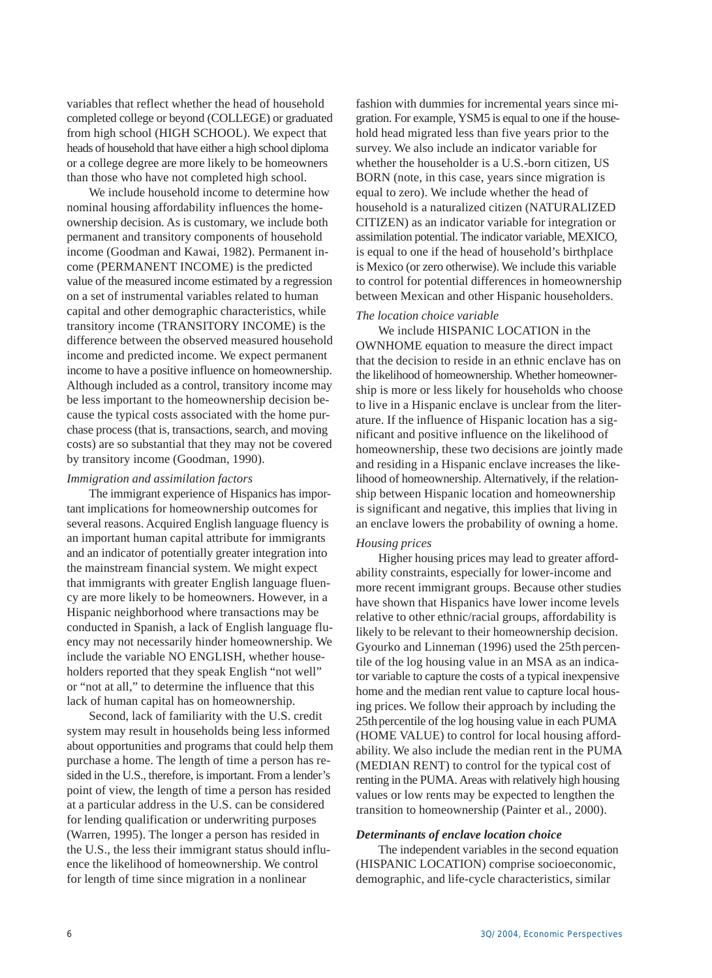variables that reflect whether the head of household completed college or beyond (COLLEGE) or graduated from high school (HIGH SCHOOL). We expect that heads of household that have either a high school diploma or a college degree are more likely to be homeowners than those who have not completed high school.

We include household income to determine how nominal housing affordability influences the homeownership decision. As is customary, we include both permanent and transitory components of household income (Goodman and Kawai, 1982). Permanent income (PERMANENT INCOME) is the predicted value of the measured income estimated by a regression on a set of instrumental variables related to human capital and other demographic characteristics, while transitory income (TRANSITORY INCOME) is the difference between the observed measured household income and predicted income. We expect permanent income to have a positive influence on homeownership. Although included as a control, transitory income may be less important to the homeownership decision because the typical costs associated with the home purchase process (that is, transactions, search, and moving costs) are so substantial that they may not be covered by transitory income (Goodman, 1990).

#### *Immigration and assimilation factors*

The immigrant experience of Hispanics has important implications for homeownership outcomes for several reasons. Acquired English language fluency is an important human capital attribute for immigrants and an indicator of potentially greater integration into the mainstream financial system. We might expect that immigrants with greater English language fluency are more likely to be homeowners. However, in a Hispanic neighborhood where transactions may be conducted in Spanish, a lack of English language fluency may not necessarily hinder homeownership. We include the variable NO ENGLISH, whether householders reported that they speak English "not well" or "not at all," to determine the influence that this lack of human capital has on homeownership.

Second, lack of familiarity with the U.S. credit system may result in households being less informed about opportunities and programs that could help them purchase a home. The length of time a person has resided in the U.S., therefore, is important. From a lender's point of view, the length of time a person has resided at a particular address in the U.S. can be considered for lending qualification or underwriting purposes (Warren, 1995). The longer a person has resided in the U.S., the less their immigrant status should influence the likelihood of homeownership. We control for length of time since migration in a nonlinear

fashion with dummies for incremental years since migration. For example, YSM5 is equal to one if the household head migrated less than five years prior to the survey. We also include an indicator variable for whether the householder is a U.S.-born citizen, US BORN (note, in this case, years since migration is equal to zero). We include whether the head of household is a naturalized citizen (NATURALIZED CITIZEN) as an indicator variable for integration or assimilation potential. The indicator variable, MEXICO, is equal to one if the head of household's birthplace is Mexico (or zero otherwise). We include this variable to control for potential differences in homeownership between Mexican and other Hispanic householders.

#### *The location choice variable*

We include HISPANIC LOCATION in the OWNHOME equation to measure the direct impact that the decision to reside in an ethnic enclave has on the likelihood of homeownership. Whether homeownership is more or less likely for households who choose to live in a Hispanic enclave is unclear from the literature. If the influence of Hispanic location has a significant and positive influence on the likelihood of homeownership, these two decisions are jointly made and residing in a Hispanic enclave increases the likelihood of homeownership. Alternatively, if the relationship between Hispanic location and homeownership is significant and negative, this implies that living in an enclave lowers the probability of owning a home.

#### *Housing prices*

Higher housing prices may lead to greater affordability constraints, especially for lower-income and more recent immigrant groups. Because other studies have shown that Hispanics have lower income levels relative to other ethnic/racial groups, affordability is likely to be relevant to their homeownership decision. Gyourko and Linneman (1996) used the 25th percentile of the log housing value in an MSA as an indicator variable to capture the costs of a typical inexpensive home and the median rent value to capture local housing prices. We follow their approach by including the 25thpercentile of the log housing value in each PUMA (HOME VALUE) to control for local housing affordability. We also include the median rent in the PUMA (MEDIAN RENT) to control for the typical cost of renting in the PUMA. Areas with relatively high housing values or low rents may be expected to lengthen the transition to homeownership (Painter et al., 2000).

#### *Determinants of enclave location choice*

The independent variables in the second equation (HISPANIC LOCATION) comprise socioeconomic, demographic, and life-cycle characteristics, similar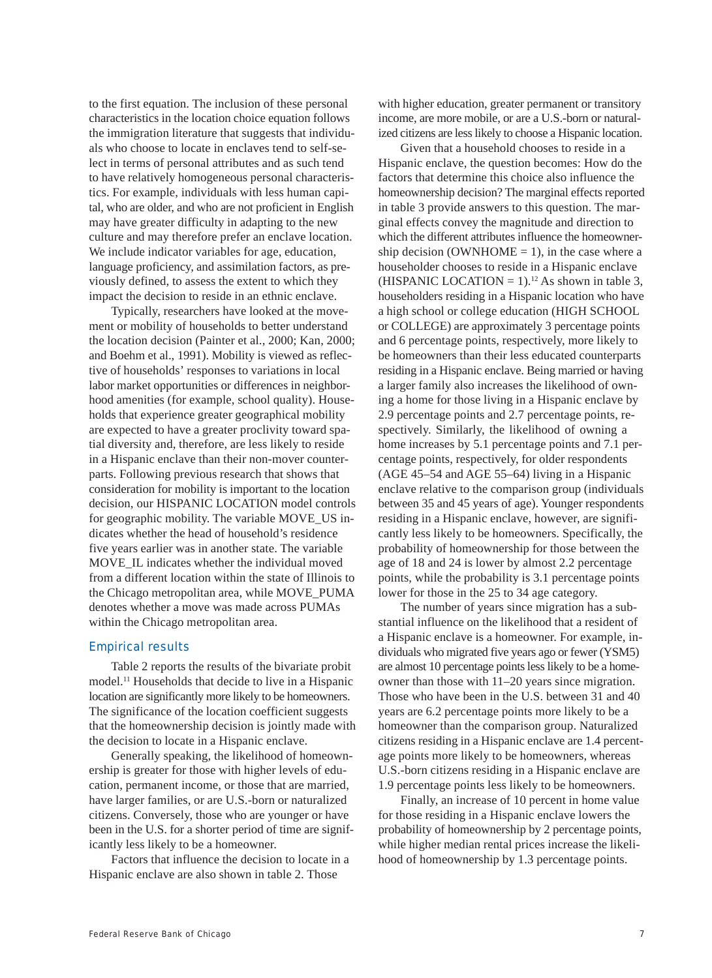to the first equation. The inclusion of these personal characteristics in the location choice equation follows the immigration literature that suggests that individuals who choose to locate in enclaves tend to self-select in terms of personal attributes and as such tend to have relatively homogeneous personal characteristics. For example, individuals with less human capital, who are older, and who are not proficient in English may have greater difficulty in adapting to the new culture and may therefore prefer an enclave location. We include indicator variables for age, education, language proficiency, and assimilation factors, as previously defined, to assess the extent to which they impact the decision to reside in an ethnic enclave.

Typically, researchers have looked at the movement or mobility of households to better understand the location decision (Painter et al., 2000; Kan, 2000; and Boehm et al., 1991). Mobility is viewed as reflective of households' responses to variations in local labor market opportunities or differences in neighborhood amenities (for example, school quality). Households that experience greater geographical mobility are expected to have a greater proclivity toward spatial diversity and, therefore, are less likely to reside in a Hispanic enclave than their non-mover counterparts. Following previous research that shows that consideration for mobility is important to the location decision, our HISPANIC LOCATION model controls for geographic mobility. The variable MOVE\_US indicates whether the head of household's residence five years earlier was in another state. The variable MOVE\_IL indicates whether the individual moved from a different location within the state of Illinois to the Chicago metropolitan area, while MOVE\_PUMA denotes whether a move was made across PUMAs within the Chicago metropolitan area.

# Empirical results

Table 2 reports the results of the bivariate probit model.11 Households that decide to live in a Hispanic location are significantly more likely to be homeowners. The significance of the location coefficient suggests that the homeownership decision is jointly made with the decision to locate in a Hispanic enclave.

Generally speaking, the likelihood of homeownership is greater for those with higher levels of education, permanent income, or those that are married, have larger families, or are U.S.-born or naturalized citizens. Conversely, those who are younger or have been in the U.S. for a shorter period of time are significantly less likely to be a homeowner.

Factors that influence the decision to locate in a Hispanic enclave are also shown in table 2. Those

with higher education, greater permanent or transitory income, are more mobile, or are a U.S.-born or naturalized citizens are less likely to choose a Hispanic location.

Given that a household chooses to reside in a Hispanic enclave, the question becomes: How do the factors that determine this choice also influence the homeownership decision? The marginal effects reported in table 3 provide answers to this question. The marginal effects convey the magnitude and direction to which the different attributes influence the homeownership decision (OWNHOME  $= 1$ ), in the case where a householder chooses to reside in a Hispanic enclave (HISPANIC LOCATION =  $1$ ).<sup>12</sup> As shown in table 3, householders residing in a Hispanic location who have a high school or college education (HIGH SCHOOL or COLLEGE) are approximately 3 percentage points and 6 percentage points, respectively, more likely to be homeowners than their less educated counterparts residing in a Hispanic enclave. Being married or having a larger family also increases the likelihood of owning a home for those living in a Hispanic enclave by 2.9 percentage points and 2.7 percentage points, respectively. Similarly, the likelihood of owning a home increases by 5.1 percentage points and 7.1 percentage points, respectively, for older respondents (AGE 45–54 and AGE 55–64) living in a Hispanic enclave relative to the comparison group (individuals between 35 and 45 years of age). Younger respondents residing in a Hispanic enclave, however, are significantly less likely to be homeowners. Specifically, the probability of homeownership for those between the age of 18 and 24 is lower by almost 2.2 percentage points, while the probability is 3.1 percentage points lower for those in the 25 to 34 age category.

The number of years since migration has a substantial influence on the likelihood that a resident of a Hispanic enclave is a homeowner. For example, individuals who migrated five years ago or fewer (YSM5) are almost 10 percentage points less likely to be a homeowner than those with 11–20 years since migration. Those who have been in the U.S. between 31 and 40 years are 6.2 percentage points more likely to be a homeowner than the comparison group. Naturalized citizens residing in a Hispanic enclave are 1.4 percentage points more likely to be homeowners, whereas U.S.-born citizens residing in a Hispanic enclave are 1.9 percentage points less likely to be homeowners.

Finally, an increase of 10 percent in home value for those residing in a Hispanic enclave lowers the probability of homeownership by 2 percentage points, while higher median rental prices increase the likelihood of homeownership by 1.3 percentage points.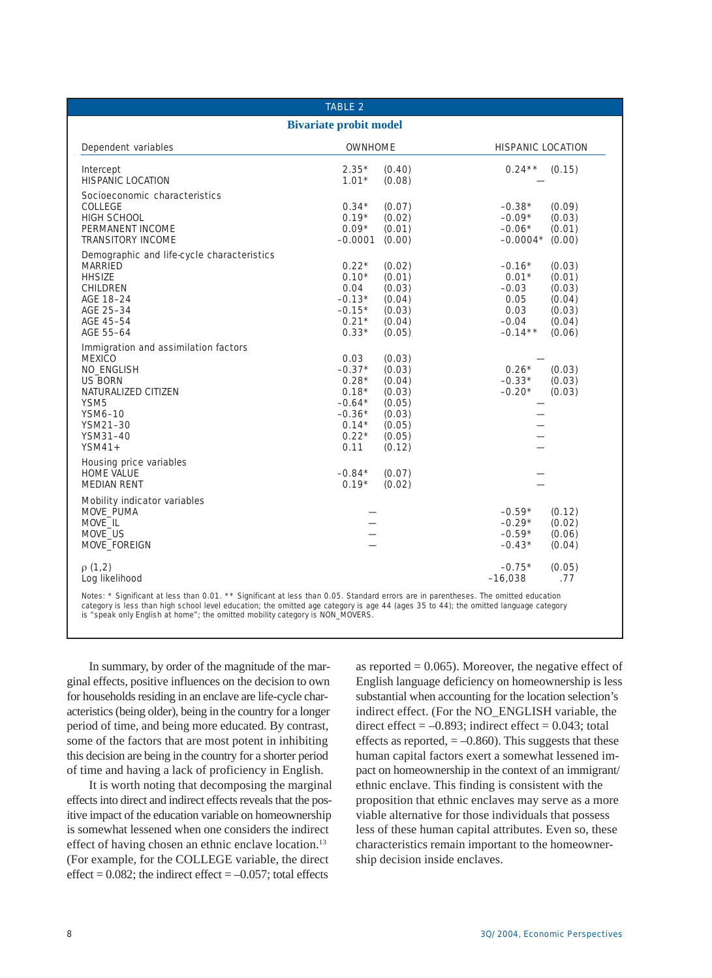| <b>TABLE 2</b><br><b>Bivariate probit model</b>                                                                                                                                        |                                                                                              |                                                                                        |                                                                        |                                                                    |  |
|----------------------------------------------------------------------------------------------------------------------------------------------------------------------------------------|----------------------------------------------------------------------------------------------|----------------------------------------------------------------------------------------|------------------------------------------------------------------------|--------------------------------------------------------------------|--|
|                                                                                                                                                                                        |                                                                                              |                                                                                        |                                                                        |                                                                    |  |
| Intercept<br><b>HISPANIC LOCATION</b>                                                                                                                                                  | $2.35*$<br>$1.01*$                                                                           | (0.40)<br>(0.08)                                                                       | $0.24***$                                                              | (0.15)                                                             |  |
| Socioeconomic characteristics<br>COLLEGE<br>HIGH SCHOOL<br>PERMANENT INCOME<br><b>TRANSITORY INCOME</b>                                                                                | $0.34*$<br>$0.19*$<br>$0.09*$<br>$-0.0001$                                                   | (0.07)<br>(0.02)<br>(0.01)<br>(0.00)                                                   | $-0.38*$<br>$-0.09*$<br>$-0.06*$<br>$-0.0004*$                         | (0.09)<br>(0.03)<br>(0.01)<br>(0.00)                               |  |
| Demographic and life-cycle characteristics<br><b>MARRIED</b><br><b>HHSIZE</b><br>CHILDREN<br>AGE 18-24<br>AGE 25-34<br>AGE 45-54<br>AGE 55-64                                          | $0.22*$<br>$0.10*$<br>0.04<br>$-0.13*$<br>$-0.15*$<br>$0.21*$<br>$0.33*$                     | (0.02)<br>(0.01)<br>(0.03)<br>(0.04)<br>(0.03)<br>(0.04)<br>(0.05)                     | $-0.16*$<br>$0.01*$<br>$-0.03$<br>0.05<br>0.03<br>$-0.04$<br>$-0.14**$ | (0.03)<br>(0.01)<br>(0.03)<br>(0.04)<br>(0.03)<br>(0.04)<br>(0.06) |  |
| Immigration and assimilation factors<br><b>MEXICO</b><br><b>NO ENGLISH</b><br><b>US BORN</b><br>NATURALIZED CITIZEN<br>YSM <sub>5</sub><br>YSM6-10<br>YSM21-30<br>YSM31-40<br>$YSM41+$ | 0.03<br>$-0.37*$<br>$0.28*$<br>$0.18*$<br>$-0.64*$<br>$-0.36*$<br>$0.14*$<br>$0.22*$<br>0.11 | (0.03)<br>(0.03)<br>(0.04)<br>(0.03)<br>(0.05)<br>(0.03)<br>(0.05)<br>(0.05)<br>(0.12) | $0.26*$<br>(0.03)<br>$-0.33*$<br>(0.03)<br>$-0.20*$<br>(0.03)          |                                                                    |  |
| Housing price variables<br><b>HOME VALUE</b><br><b>MEDIAN RENT</b>                                                                                                                     | $-0.84*$<br>$0.19*$                                                                          | (0.07)<br>(0.02)                                                                       |                                                                        |                                                                    |  |
| <b>Mobility indicator variables</b><br>MOVE PUMA<br>MOVE IL<br>MOVE US<br>MOVE FOREIGN                                                                                                 |                                                                                              |                                                                                        | $-0.59*$<br>$-0.29*$<br>$-0.59*$<br>$-0.43*$                           | (0.12)<br>(0.02)<br>(0.06)<br>(0.04)                               |  |
| $\rho(1,2)$<br>Log likelihood                                                                                                                                                          |                                                                                              |                                                                                        | $-0.75*$<br>$-16,038$                                                  | (0.05)<br>.77                                                      |  |

In summary, by order of the magnitude of the marginal effects, positive influences on the decision to own for households residing in an enclave are life-cycle characteristics (being older), being in the country for a longer period of time, and being more educated. By contrast, some of the factors that are most potent in inhibiting this decision are being in the country for a shorter period of time and having a lack of proficiency in English.

It is worth noting that decomposing the marginal effects into direct and indirect effects reveals that the positive impact of the education variable on homeownership is somewhat lessened when one considers the indirect effect of having chosen an ethnic enclave location.<sup>13</sup> (For example, for the COLLEGE variable, the direct effect =  $0.082$ ; the indirect effect =  $-0.057$ ; total effects

as reported  $= 0.065$ ). Moreover, the negative effect of English language deficiency on homeownership is less substantial when accounting for the location selection's indirect effect. (For the NO\_ENGLISH variable, the direct effect  $= -0.893$ ; indirect effect  $= 0.043$ ; total effects as reported,  $= -0.860$ . This suggests that these human capital factors exert a somewhat lessened impact on homeownership in the context of an immigrant/ ethnic enclave. This finding is consistent with the proposition that ethnic enclaves may serve as a more viable alternative for those individuals that possess less of these human capital attributes. Even so, these characteristics remain important to the homeownership decision inside enclaves.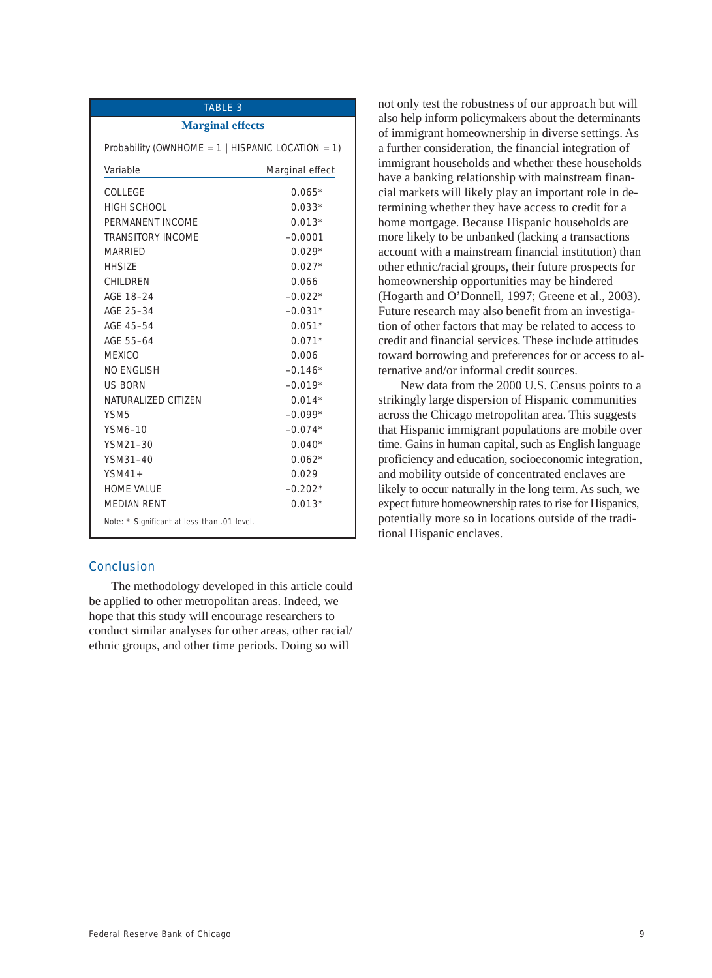# TABLE 3

#### **Marginal effects**

Probability (OWNHOME =  $1$  | HISPANIC LOCATION =  $1$ )

| Variable                                    | <b>Marginal effect</b> |  |
|---------------------------------------------|------------------------|--|
| COLLEGE                                     | $0.065*$               |  |
| HIGH SCHOOL                                 | $0.033*$               |  |
| PERMANENT INCOME                            | $0.013*$               |  |
| <b>TRANSITORY INCOME</b>                    | $-0.0001$              |  |
| <b>MARRIED</b>                              | $0.029*$               |  |
| <b>HHSIZE</b>                               | $0.027*$               |  |
| CHII DREN                                   | 0.066                  |  |
| AGE 18-24                                   | $-0.022*$              |  |
| AGE 25-34                                   | $-0.031*$              |  |
| AGE 45-54                                   | $0.051*$               |  |
| AGE 55-64                                   | $0.071*$               |  |
| <b>MEXICO</b>                               | 0.006                  |  |
| NO FNGLISH                                  | $-0.146*$              |  |
| <b>US BORN</b>                              | $-0.019*$              |  |
| NATURALIZED CITIZEN                         | $0.014*$               |  |
| YSM <sub>5</sub>                            | $-0.099*$              |  |
| YSM6-10                                     | $-0.074*$              |  |
| YSM21-30                                    | $0.040*$               |  |
| YSM31-40                                    | $0.062*$               |  |
| $YSM41+$                                    | 0.029                  |  |
| <b>HOME VALUE</b>                           | $-0.202*$              |  |
| <b>MEDIAN RENT</b>                          | $0.013*$               |  |
| Note: * Significant at less than .01 level. |                        |  |

# **Conclusion**

The methodology developed in this article could be applied to other metropolitan areas. Indeed, we hope that this study will encourage researchers to conduct similar analyses for other areas, other racial/ ethnic groups, and other time periods. Doing so will

not only test the robustness of our approach but will also help inform policymakers about the determinants of immigrant homeownership in diverse settings. As a further consideration, the financial integration of immigrant households and whether these households have a banking relationship with mainstream financial markets will likely play an important role in determining whether they have access to credit for a home mortgage. Because Hispanic households are more likely to be unbanked (lacking a transactions account with a mainstream financial institution) than other ethnic/racial groups, their future prospects for homeownership opportunities may be hindered (Hogarth and O'Donnell, 1997; Greene et al., 2003). Future research may also benefit from an investigation of other factors that may be related to access to credit and financial services. These include attitudes toward borrowing and preferences for or access to alternative and/or informal credit sources.

New data from the 2000 U.S. Census points to a strikingly large dispersion of Hispanic communities across the Chicago metropolitan area. This suggests that Hispanic immigrant populations are mobile over time. Gains in human capital, such as English language proficiency and education, socioeconomic integration, and mobility outside of concentrated enclaves are likely to occur naturally in the long term. As such, we expect future homeownership rates to rise for Hispanics, potentially more so in locations outside of the traditional Hispanic enclaves.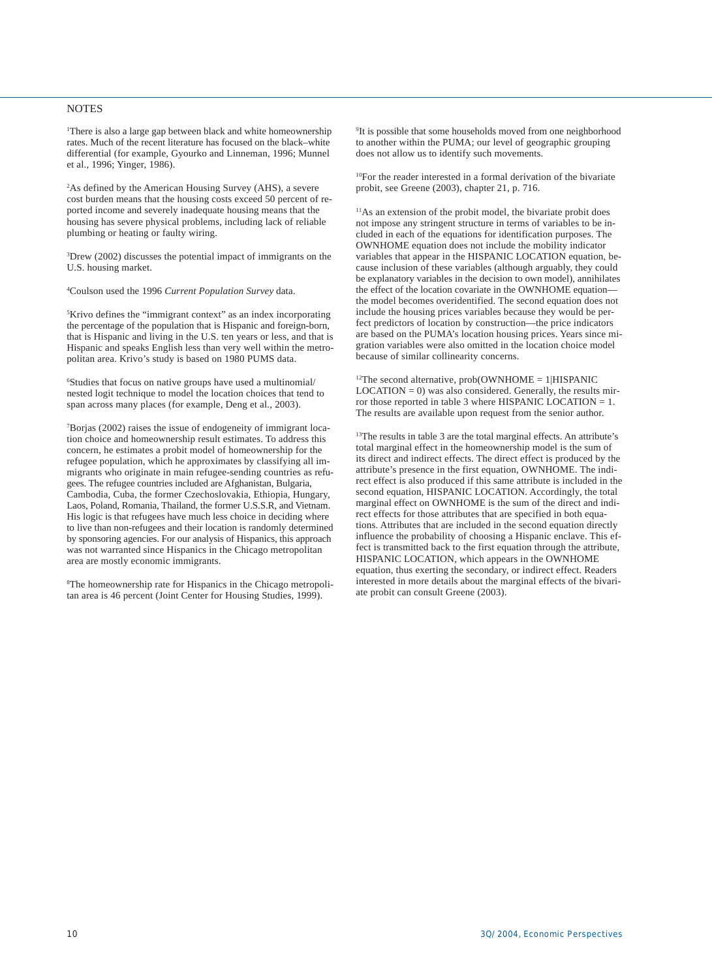#### NOTES

1 There is also a large gap between black and white homeownership rates. Much of the recent literature has focused on the black–white differential (for example, Gyourko and Linneman, 1996; Munnel et al., 1996; Yinger, 1986).

2 As defined by the American Housing Survey (AHS), a severe cost burden means that the housing costs exceed 50 percent of reported income and severely inadequate housing means that the housing has severe physical problems, including lack of reliable plumbing or heating or faulty wiring.

3 Drew (2002) discusses the potential impact of immigrants on the U.S. housing market.

4 Coulson used the 1996 *Current Population Survey* data.

5 Krivo defines the "immigrant context" as an index incorporating the percentage of the population that is Hispanic and foreign-born, that is Hispanic and living in the U.S. ten years or less, and that is Hispanic and speaks English less than very well within the metropolitan area. Krivo's study is based on 1980 PUMS data.

6 Studies that focus on native groups have used a multinomial/ nested logit technique to model the location choices that tend to span across many places (for example, Deng et al., 2003).

7 Borjas (2002) raises the issue of endogeneity of immigrant location choice and homeownership result estimates. To address this concern, he estimates a probit model of homeownership for the refugee population, which he approximates by classifying all immigrants who originate in main refugee-sending countries as refugees. The refugee countries included are Afghanistan, Bulgaria, Cambodia, Cuba, the former Czechoslovakia, Ethiopia, Hungary, Laos, Poland, Romania, Thailand, the former U.S.S.R, and Vietnam. His logic is that refugees have much less choice in deciding where to live than non-refugees and their location is randomly determined by sponsoring agencies. For our analysis of Hispanics, this approach was not warranted since Hispanics in the Chicago metropolitan area are mostly economic immigrants.

8 The homeownership rate for Hispanics in the Chicago metropolitan area is 46 percent (Joint Center for Housing Studies, 1999).

9 It is possible that some households moved from one neighborhood to another within the PUMA; our level of geographic grouping does not allow us to identify such movements.

10For the reader interested in a formal derivation of the bivariate probit, see Greene (2003), chapter 21, p. 716.

11As an extension of the probit model, the bivariate probit does not impose any stringent structure in terms of variables to be included in each of the equations for identification purposes. The OWNHOME equation does not include the mobility indicator variables that appear in the HISPANIC LOCATION equation, because inclusion of these variables (although arguably, they could be explanatory variables in the decision to own model), annihilates the effect of the location covariate in the OWNHOME equation the model becomes overidentified. The second equation does not include the housing prices variables because they would be perfect predictors of location by construction—the price indicators are based on the PUMA's location housing prices. Years since migration variables were also omitted in the location choice model because of similar collinearity concerns.

 $12$ The second alternative, prob(OWNHOME = 1|HISPANIC  $LOCALION = 0$ ) was also considered. Generally, the results mirror those reported in table 3 where HISPANIC LOCATION = 1. The results are available upon request from the senior author.

<sup>13</sup>The results in table 3 are the total marginal effects. An attribute's total marginal effect in the homeownership model is the sum of its direct and indirect effects. The direct effect is produced by the attribute's presence in the first equation, OWNHOME. The indirect effect is also produced if this same attribute is included in the second equation, HISPANIC LOCATION. Accordingly, the total marginal effect on OWNHOME is the sum of the direct and indirect effects for those attributes that are specified in both equations. Attributes that are included in the second equation directly influence the probability of choosing a Hispanic enclave. This effect is transmitted back to the first equation through the attribute, HISPANIC LOCATION, which appears in the OWNHOME equation, thus exerting the secondary, or indirect effect. Readers interested in more details about the marginal effects of the bivariate probit can consult Greene (2003).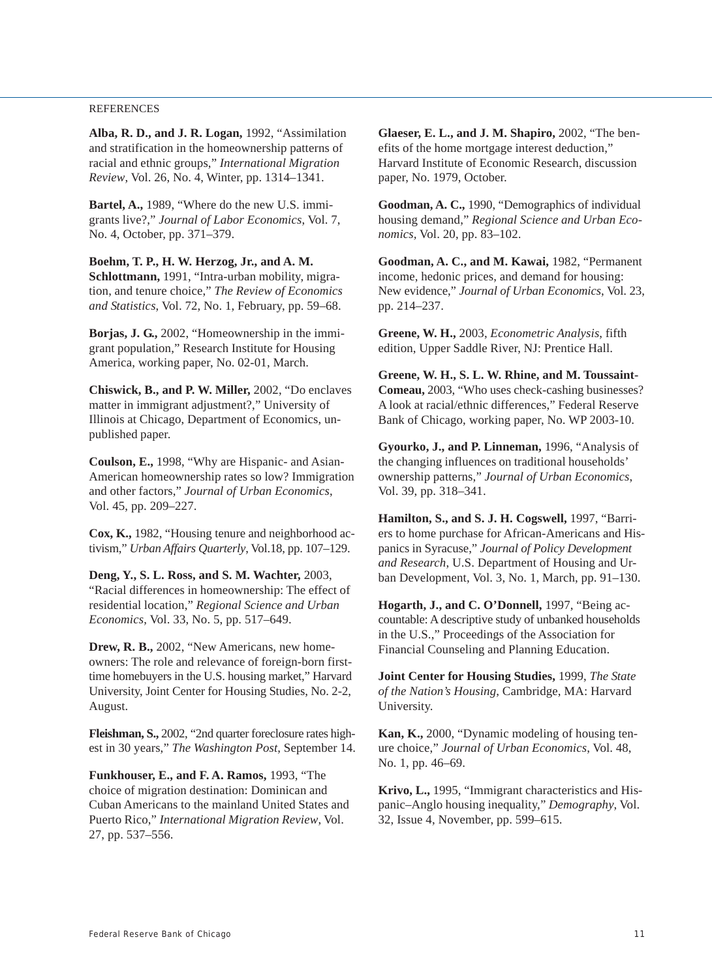#### REFERENCES

**Alba, R. D., and J. R. Logan,** 1992, "Assimilation and stratification in the homeownership patterns of racial and ethnic groups," *International Migration Review*, Vol. 26, No. 4, Winter, pp. 1314–1341.

**Bartel, A.,** 1989, "Where do the new U.S. immigrants live?," *Journal of Labor Economics*, Vol. 7, No. 4, October, pp. 371–379.

**Boehm, T. P., H. W. Herzog, Jr., and A. M. Schlottmann,** 1991, "Intra-urban mobility, migration, and tenure choice," *The Review of Economics and Statistics*, Vol. 72, No. 1, February, pp. 59–68.

**Borjas, J. G.,** 2002, "Homeownership in the immigrant population," Research Institute for Housing America, working paper, No. 02-01, March.

**Chiswick, B., and P. W. Miller,** 2002, "Do enclaves matter in immigrant adjustment?," University of Illinois at Chicago, Department of Economics, unpublished paper.

**Coulson, E.,** 1998, "Why are Hispanic- and Asian-American homeownership rates so low? Immigration and other factors," *Journal of Urban Economics*, Vol. 45, pp. 209–227.

**Cox, K.,** 1982, "Housing tenure and neighborhood activism," *Urban Affairs Quarterly*, Vol.18, pp. 107–129.

**Deng, Y., S. L. Ross, and S. M. Wachter,** 2003, "Racial differences in homeownership: The effect of residential location," *Regional Science and Urban Economics*, Vol. 33, No. 5, pp. 517–649.

**Drew, R. B.,** 2002, "New Americans, new homeowners: The role and relevance of foreign-born firsttime homebuyers in the U.S. housing market," Harvard University, Joint Center for Housing Studies, No. 2-2, August.

**Fleishman, S.,** 2002, "2nd quarter foreclosure rates highest in 30 years," *The Washington Post*, September 14.

**Funkhouser, E., and F. A. Ramos,** 1993, "The choice of migration destination: Dominican and Cuban Americans to the mainland United States and Puerto Rico," *International Migration Review*, Vol. 27, pp. 537–556.

**Glaeser, E. L., and J. M. Shapiro,** 2002, "The benefits of the home mortgage interest deduction," Harvard Institute of Economic Research, discussion paper, No. 1979, October.

**Goodman, A. C.,** 1990, "Demographics of individual housing demand," *Regional Science and Urban Economics,* Vol. 20, pp. 83–102.

**Goodman, A. C., and M. Kawai,** 1982, "Permanent income, hedonic prices, and demand for housing: New evidence," *Journal of Urban Economics*, Vol. 23, pp. 214–237.

**Greene, W. H.,** 2003, *Econometric Analysis*, fifth edition, Upper Saddle River, NJ: Prentice Hall.

**Greene, W. H., S. L. W. Rhine, and M. Toussaint-Comeau,** 2003, "Who uses check-cashing businesses? A look at racial/ethnic differences," Federal Reserve Bank of Chicago, working paper, No. WP 2003-10.

**Gyourko, J., and P. Linneman,** 1996, "Analysis of the changing influences on traditional households' ownership patterns," *Journal of Urban Economics*, Vol. 39, pp. 318–341.

**Hamilton, S., and S. J. H. Cogswell,** 1997, "Barriers to home purchase for African-Americans and Hispanics in Syracuse," *Journal of Policy Development and Research*, U.S. Department of Housing and Urban Development, Vol. 3, No. 1, March, pp. 91–130.

**Hogarth, J., and C. O'Donnell,** 1997, "Being accountable: A descriptive study of unbanked households in the U.S.," Proceedings of the Association for Financial Counseling and Planning Education.

**Joint Center for Housing Studies,** 1999, *The State of the Nation's Housing*, Cambridge, MA: Harvard University.

**Kan, K.,** 2000, "Dynamic modeling of housing tenure choice," *Journal of Urban Economics*, Vol. 48, No. 1, pp. 46–69.

**Krivo, L.,** 1995, "Immigrant characteristics and Hispanic–Anglo housing inequality," *Demography*, Vol. 32, Issue 4, November, pp. 599–615.